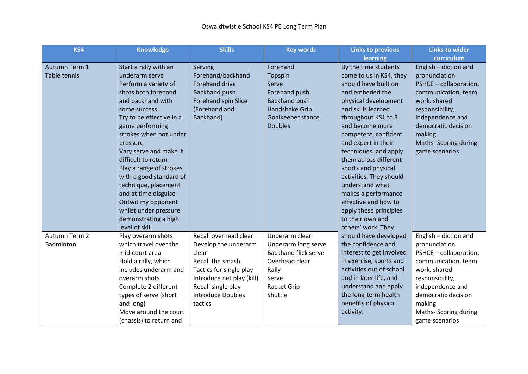| KS4           | <b>Knowledge</b>         | <b>Skills</b>             | <b>Key words</b>            | <b>Links to previous</b> | <b>Links to wider</b>  |
|---------------|--------------------------|---------------------------|-----------------------------|--------------------------|------------------------|
|               |                          |                           |                             | learning                 | curriculum             |
| Autumn Term 1 | Start a rally with an    | Serving                   | Forehand                    | By the time students     | English - diction and  |
| Table tennis  | underarm serve           | Forehand/backhand         | Topspin                     | come to us in KS4, they  | pronunciation          |
|               | Perform a variety of     | <b>Forehand drive</b>     | Serve                       | should have built on     | PSHCE - collaboration, |
|               | shots both forehand      | <b>Backhand push</b>      | Forehand push               | and embeded the          | communication, team    |
|               | and backhand with        | Forehand spin Slice       | <b>Backhand push</b>        | physical development     | work, shared           |
|               | some success             | (Forehand and             | Handshake Grip              | and skills learned       | responsibility,        |
|               | Try to be effective in a | Backhand)                 | Goalkeeper stance           | throughout KS1 to 3      | independence and       |
|               | game performing          |                           | <b>Doubles</b>              | and become more          | democratic decision    |
|               | strokes when not under   |                           |                             | competent, confident     | making                 |
|               | pressure                 |                           |                             | and expert in their      | Maths- Scoring during  |
|               | Vary serve and make it   |                           |                             | techniques, and apply    | game scenarios         |
|               | difficult to return      |                           |                             | them across different    |                        |
|               | Play a range of strokes  |                           |                             | sports and physical      |                        |
|               | with a good standard of  |                           |                             | activities. They should  |                        |
|               | technique, placement     |                           |                             | understand what          |                        |
|               | and at time disguise     |                           |                             | makes a performance      |                        |
|               | Outwit my opponent       |                           |                             | effective and how to     |                        |
|               | whilst under pressure    |                           |                             | apply these principles   |                        |
|               | demonstrating a high     |                           |                             | to their own and         |                        |
|               | level of skill           |                           |                             | others' work. They       |                        |
| Autumn Term 2 | Play overarm shots       | Recall overhead clear     | Underarm clear              | should have developed    | English - diction and  |
| Badminton     | which travel over the    | Develop the underarm      | Underarm long serve         | the confidence and       | pronunciation          |
|               | mid-court area           | clear                     | <b>Backhand flick serve</b> | interest to get involved | PSHCE - collaboration, |
|               | Hold a rally, which      | Recall the smash          | Overhead clear              | in exercise, sports and  | communication, team    |
|               | includes underarm and    | Tactics for single play   | Rally                       | activities out of school | work, shared           |
|               | overarm shots            | Introduce net play (kill) | Serve                       | and in later life, and   | responsibility,        |
|               | Complete 2 different     | Recall single play        | <b>Racket Grip</b>          | understand and apply     | independence and       |
|               | types of serve (short    | <b>Introduce Doubles</b>  | Shuttle                     | the long-term health     | democratic decision    |
|               | and long)                | tactics                   |                             | benefits of physical     | making                 |
|               | Move around the court    |                           |                             | activity.                | Maths- Scoring during  |
|               | (chassis) to return and  |                           |                             |                          | game scenarios         |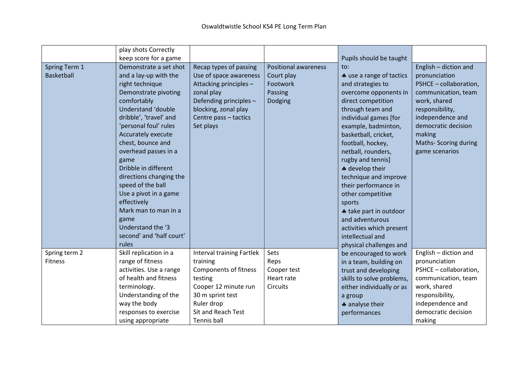|                                 | play shots Correctly<br>keep score for a game                                                                                                                                                                                                                                                                                                                                                                                                                           |                                                                                                                                                                                        |                                                                             | Pupils should be taught                                                                                                                                                                                                                                                                                                                                                                                                                                                                    |                                                                                                                                                                                                                                  |
|---------------------------------|-------------------------------------------------------------------------------------------------------------------------------------------------------------------------------------------------------------------------------------------------------------------------------------------------------------------------------------------------------------------------------------------------------------------------------------------------------------------------|----------------------------------------------------------------------------------------------------------------------------------------------------------------------------------------|-----------------------------------------------------------------------------|--------------------------------------------------------------------------------------------------------------------------------------------------------------------------------------------------------------------------------------------------------------------------------------------------------------------------------------------------------------------------------------------------------------------------------------------------------------------------------------------|----------------------------------------------------------------------------------------------------------------------------------------------------------------------------------------------------------------------------------|
| Spring Term 1<br>Basketball     | Demonstrate a set shot<br>and a lay-up with the<br>right technique<br>Demonstrate pivoting<br>comfortably<br>Understand 'double<br>dribble', 'travel' and<br>'personal foul' rules<br>Accurately execute<br>chest, bounce and<br>overhead passes in a<br>game<br>Dribble in different<br>directions changing the<br>speed of the ball<br>Use a pivot in a game<br>effectively<br>Mark man to man in a<br>game<br>Understand the '3<br>second' and 'half court'<br>rules | Recap types of passing<br>Use of space awareness<br>Attacking principles -<br>zonal play<br>Defending principles-<br>blocking, zonal play<br>Centre pass - tactics<br>Set plays        | <b>Positional awareness</b><br>Court play<br>Footwork<br>Passing<br>Dodging | to:<br>* use a range of tactics<br>and strategies to<br>overcome opponents in<br>direct competition<br>through team and<br>individual games [for<br>example, badminton,<br>basketball, cricket,<br>football, hockey,<br>netball, rounders,<br>rugby and tennis]<br>* develop their<br>technique and improve<br>their performance in<br>other competitive<br>sports<br>* take part in outdoor<br>and adventurous<br>activities which present<br>intellectual and<br>physical challenges and | English - diction and<br>pronunciation<br>PSHCE - collaboration,<br>communication, team<br>work, shared<br>responsibility,<br>independence and<br>democratic decision<br>making<br><b>Maths-Scoring during</b><br>game scenarios |
| Spring term 2<br><b>Fitness</b> | Skill replication in a<br>range of fitness<br>activities. Use a range<br>of health and fitness<br>terminology.<br>Understanding of the<br>way the body<br>responses to exercise<br>using appropriate                                                                                                                                                                                                                                                                    | <b>Interval training Fartlek</b><br>training<br>Components of fitness<br>testing<br>Cooper 12 minute run<br>30 m sprint test<br>Ruler drop<br><b>Sit and Reach Test</b><br>Tennis ball | Sets<br>Reps<br>Cooper test<br>Heart rate<br><b>Circuits</b>                | be encouraged to work<br>in a team, building on<br>trust and developing<br>skills to solve problems,<br>either individually or as<br>a group<br>* analyse their<br>performances                                                                                                                                                                                                                                                                                                            | English - diction and<br>pronunciation<br>PSHCE - collaboration,<br>communication, team<br>work, shared<br>responsibility,<br>independence and<br>democratic decision<br>making                                                  |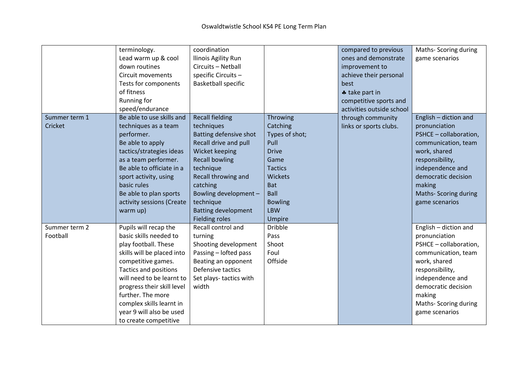|               | terminology.               | coordination               |                           | compared to previous      | Maths-Scoring during   |
|---------------|----------------------------|----------------------------|---------------------------|---------------------------|------------------------|
|               | Lead warm up & cool        | Ilinois Agility Run        |                           | ones and demonstrate      | game scenarios         |
|               | down routines              | Circuits - Netball         |                           | improvement to            |                        |
|               | <b>Circuit movements</b>   | specific Circuits-         |                           | achieve their personal    |                        |
|               | Tests for components       | <b>Basketball specific</b> |                           | best                      |                        |
|               | of fitness                 |                            |                           | * take part in            |                        |
|               | Running for                |                            |                           | competitive sports and    |                        |
|               | speed/endurance            |                            |                           | activities outside school |                        |
| Summer term 1 | Be able to use skills and  | <b>Recall fielding</b>     | Throwing                  | through community         | English - diction and  |
| Cricket       | techniques as a team       | techniques                 | Catching                  | links or sports clubs.    | pronunciation          |
|               | performer.                 | Batting defensive shot     | Types of shot;            |                           | PSHCE - collaboration, |
|               | Be able to apply           | Recall drive and pull      | Pull                      |                           | communication, team    |
|               | tactics/strategies ideas   | Wicket keeping             | <b>Drive</b>              |                           | work, shared           |
|               | as a team performer.       | <b>Recall bowling</b>      | Game                      |                           | responsibility,        |
|               | Be able to officiate in a  | technique                  | <b>Tactics</b>            |                           | independence and       |
|               | sport activity, using      | Recall throwing and        | <b>Wickets</b>            |                           | democratic decision    |
|               | basic rules                |                            |                           |                           |                        |
|               |                            | catching                   | <b>Bat</b><br><b>Ball</b> |                           | making                 |
|               | Be able to plan sports     | Bowling development -      |                           |                           | Maths-Scoring during   |
|               | activity sessions (Create  | technique                  | <b>Bowling</b>            |                           | game scenarios         |
|               | warm up)                   | <b>Batting development</b> | <b>LBW</b>                |                           |                        |
|               |                            | <b>Fielding roles</b>      | Umpire                    |                           |                        |
| Summer term 2 | Pupils will recap the      | Recall control and         | <b>Dribble</b>            |                           | English - diction and  |
| Football      | basic skills needed to     | turning                    | Pass                      |                           | pronunciation          |
|               | play football. These       | Shooting development       | Shoot                     |                           | PSHCE - collaboration, |
|               | skills will be placed into | Passing - lofted pass      | Foul                      |                           | communication, team    |
|               | competitive games.         | Beating an opponent        | Offside                   |                           | work, shared           |
|               | Tactics and positions      | Defensive tactics          |                           |                           | responsibility,        |
|               | will need to be learnt to  | Set plays-tactics with     |                           |                           | independence and       |
|               | progress their skill level | width                      |                           |                           | democratic decision    |
|               | further. The more          |                            |                           |                           | making                 |
|               | complex skills learnt in   |                            |                           |                           | Maths- Scoring during  |
|               | year 9 will also be used   |                            |                           |                           | game scenarios         |
|               | to create competitive      |                            |                           |                           |                        |